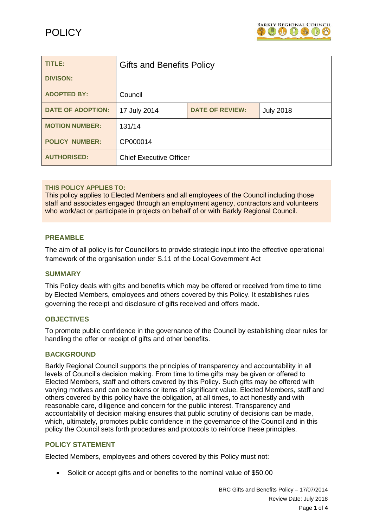

| TITLE:                   | <b>Gifts and Benefits Policy</b> |                        |                  |
|--------------------------|----------------------------------|------------------------|------------------|
| <b>DIVISON:</b>          |                                  |                        |                  |
| <b>ADOPTED BY:</b>       | Council                          |                        |                  |
| <b>DATE OF ADOPTION:</b> | 17 July 2014                     | <b>DATE OF REVIEW:</b> | <b>July 2018</b> |
| <b>MOTION NUMBER:</b>    | 131/14                           |                        |                  |
| <b>POLICY NUMBER:</b>    | CP000014                         |                        |                  |
| <b>AUTHORISED:</b>       | <b>Chief Executive Officer</b>   |                        |                  |

## **THIS POLICY APPLIES TO:**

This policy applies to Elected Members and all employees of the Council including those staff and associates engaged through an employment agency, contractors and volunteers who work/act or participate in projects on behalf of or with Barkly Regional Council.

## **PREAMBLE**

The aim of all policy is for Councillors to provide strategic input into the effective operational framework of the organisation under S.11 of the Local Government Act

# **SUMMARY**

This Policy deals with gifts and benefits which may be offered or received from time to time by Elected Members, employees and others covered by this Policy. It establishes rules governing the receipt and disclosure of gifts received and offers made.

#### **OBJECTIVES**

To promote public confidence in the governance of the Council by establishing clear rules for handling the offer or receipt of gifts and other benefits.

# **BACKGROUND**

Barkly Regional Council supports the principles of transparency and accountability in all levels of Council's decision making. From time to time gifts may be given or offered to Elected Members, staff and others covered by this Policy. Such gifts may be offered with varying motives and can be tokens or items of significant value. Elected Members, staff and others covered by this policy have the obligation, at all times, to act honestly and with reasonable care, diligence and concern for the public interest. Transparency and accountability of decision making ensures that public scrutiny of decisions can be made, which, ultimately, promotes public confidence in the governance of the Council and in this policy the Council sets forth procedures and protocols to reinforce these principles.

## **POLICY STATEMENT**

Elected Members, employees and others covered by this Policy must not:

Solicit or accept gifts and or benefits to the nominal value of \$50.00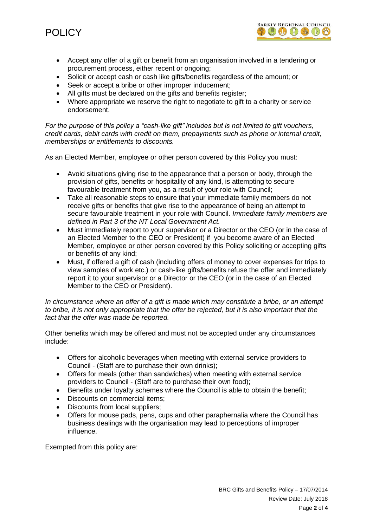

- Accept any offer of a gift or benefit from an organisation involved in a tendering or procurement process, either recent or ongoing;
- Solicit or accept cash or cash like gifts/benefits regardless of the amount; or
- Seek or accept a bribe or other improper inducement;
- All gifts must be declared on the gifts and benefits register:
- Where appropriate we reserve the right to negotiate to gift to a charity or service endorsement.

*For the purpose of this policy a "cash-like gift" includes but is not limited to gift vouchers, credit cards, debit cards with credit on them, prepayments such as phone or internal credit, memberships or entitlements to discounts.*

As an Elected Member, employee or other person covered by this Policy you must:

- Avoid situations giving rise to the appearance that a person or body, through the provision of gifts, benefits or hospitality of any kind, is attempting to secure favourable treatment from you, as a result of your role with Council;
- Take all reasonable steps to ensure that your immediate family members do not receive gifts or benefits that give rise to the appearance of being an attempt to secure favourable treatment in your role with Council. *Immediate family members are defined in Part 3 of the NT Local Government Act.*
- Must immediately report to your supervisor or a Director or the CEO (or in the case of an Elected Member to the CEO or President) if you become aware of an Elected Member, employee or other person covered by this Policy soliciting or accepting gifts or benefits of any kind;
- Must, if offered a gift of cash (including offers of money to cover expenses for trips to view samples of work etc.) or cash-like gifts/benefits refuse the offer and immediately report it to your supervisor or a Director or the CEO (or in the case of an Elected Member to the CEO or President).

*In circumstance where an offer of a gift is made which may constitute a bribe, or an attempt to bribe, it is not only appropriate that the offer be rejected, but it is also important that the fact that the offer was made be reported.* 

Other benefits which may be offered and must not be accepted under any circumstances include:

- Offers for alcoholic beverages when meeting with external service providers to Council - (Staff are to purchase their own drinks);
- Offers for meals (other than sandwiches) when meeting with external service providers to Council - (Staff are to purchase their own food);
- Benefits under loyalty schemes where the Council is able to obtain the benefit;
- Discounts on commercial items;
- Discounts from local suppliers;
- Offers for mouse pads, pens, cups and other paraphernalia where the Council has business dealings with the organisation may lead to perceptions of improper influence.

Exempted from this policy are: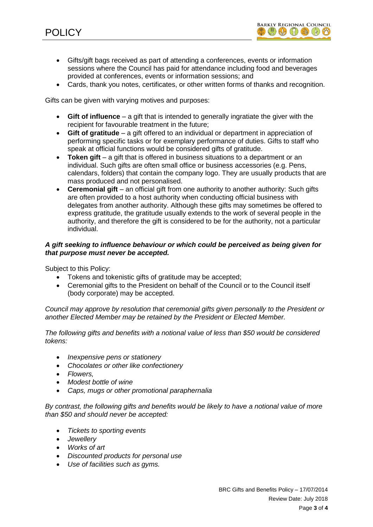- Gifts/gift bags received as part of attending a conferences, events or information sessions where the Council has paid for attendance including food and beverages provided at conferences, events or information sessions; and
- Cards, thank you notes, certificates, or other written forms of thanks and recognition.

Gifts can be given with varying motives and purposes:

- **Gift of influence**  a gift that is intended to generally ingratiate the giver with the recipient for favourable treatment in the future;
- **Gift of gratitude**  a gift offered to an individual or department in appreciation of performing specific tasks or for exemplary performance of duties. Gifts to staff who speak at official functions would be considered gifts of gratitude.
- **Token gift** a gift that is offered in business situations to a department or an individual. Such gifts are often small office or business accessories (e.g. Pens, calendars, folders) that contain the company logo. They are usually products that are mass produced and not personalised.
- Ceremonial gift an official gift from one authority to another authority: Such gifts are often provided to a host authority when conducting official business with delegates from another authority. Although these gifts may sometimes be offered to express gratitude, the gratitude usually extends to the work of several people in the authority, and therefore the gift is considered to be for the authority, not a particular individual.

# *A gift seeking to influence behaviour or which could be perceived as being given for that purpose must never be accepted.*

Subject to this Policy:

- Tokens and tokenistic gifts of gratitude may be accepted;
- Ceremonial gifts to the President on behalf of the Council or to the Council itself (body corporate) may be accepted.

*Council may approve by resolution that ceremonial gifts given personally to the President or another Elected Member may be retained by the President or Elected Member.*

*The following gifts and benefits with a notional value of less than \$50 would be considered tokens:* 

- *Inexpensive pens or stationery*
- *Chocolates or other like confectionery*
- *Flowers,*
- *Modest bottle of wine*
- *Caps, mugs or other promotional paraphernalia*

*By contrast, the following gifts and benefits would be likely to have a notional value of more than \$50 and should never be accepted:*

- *Tickets to sporting events*
- *Jewellery*
- *Works of art*
- *Discounted products for personal use*
- *Use of facilities such as gyms.*